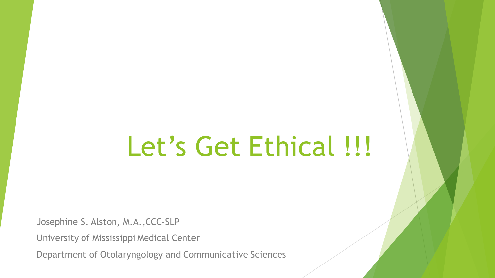## Let's Get Ethical !!!

Josephine S. Alston, M.A.,CCC-SLP

University of Mississippi Medical Center

Department of Otolaryngology and Communicative Sciences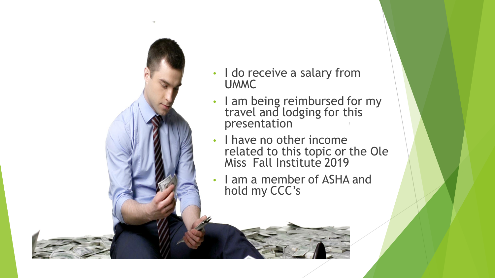

- I do receive a salary from UMMC
- I am being reimbursed for my travel and lodging for this presentation
- I have no other income related to this topic or the Ole Miss Fall Institute 2019
- I am a member of ASHA and hold my CCC's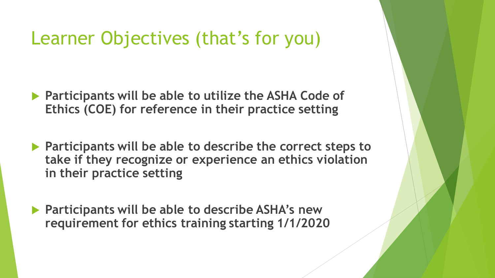### Learner Objectives (that's for you)

- **Participants will be able to utilize the ASHA Code of Ethics (COE) for reference in their practice setting**
- **Participants will be able to describe the correct steps to take if they recognize or experience an ethics violation in their practice setting**
- **Participants will be able to describe ASHA's new requirement for ethics training starting 1/1/2020**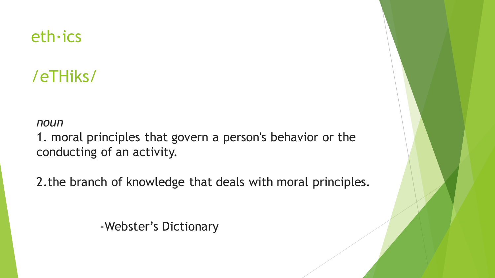#### eth∙ics

### /eTHiks/

*noun*

1. moral principles that govern a person's behavior or the [co](https://www.google.com/search?rlz=1C1SQJL_enUS810US810&sxsrf=ACYBGNSkc1_ciZ0HS5rxHX-v6L2HLS5zcQ:1568839151156&q=how+to+pronounce+ethics&stick=H4sIAAAAAAAAAOMIfcRowS3w8sc9YSn9SWtOXmPU5OINKMrPK81LzkwsyczPExLiYglJLcoV4pLi4GJLLcnITC62YlFiSs3jWcQqnpFfrlCSr1AA1JEP1JKqAFEAAAwL7HJXAAAA&pron_lang=en&pron_country=us&sa=X&ved=2ahUKEwjG0sGindvkAhVOJt8KHRs8CK0Q3eEDMAB6BAgBEAg)nducting of an activity.

2.the branch of knowledge that deals with moral principles.

-Webster's Dictionary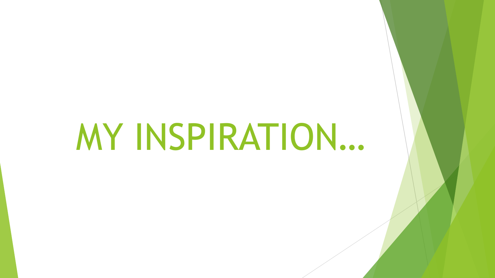# MY INSPIRATION…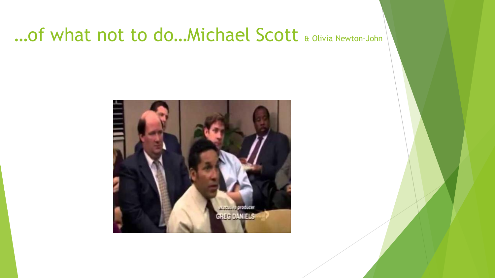### ... Of what not to do... Michael Scott & Olivia Newton-John

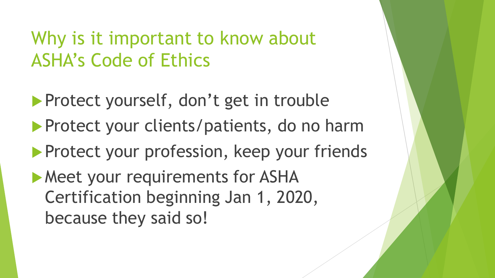### Why is it important to know about ASHA's Code of Ethics

- Protect yourself, don't get in trouble
- **Protect your clients/patients, do no harm**
- **Protect your profession, keep your friends**
- **Meet your requirements for ASHA** Certification beginning Jan 1, 2020, because they said so!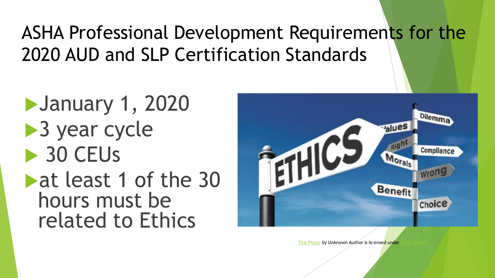## ASHA Professional Development Requirements for the 2020 AUD and SLP Certification Standards

January 1, 2020 ▶ 3 year cycle ▶ 30 CEUs **Least 1 of the 30** hours must be related to Ethics



[This Photo](https://humanisternasyd.wordpress.com/2015/09/03/studiecirklar-i-filosofi/) by Unknown Author is licensed under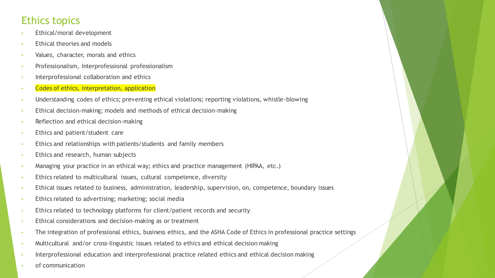#### Ethics topics

- Ethical/moral development
- Ethical theories and models
- Values, character, morals and ethics
- Professionalism, Interprofessional professionalism
- Interprofessional collaboration and ethics
- Codes of ethics, interpretation, application
- Understanding codes of ethics; preventing ethical violations; reporting violations, whistle-blowing
- Ethical decision-making; models and methods of ethical decision-making
- Reflection and ethical decision-making
- Ethics and patient/student care
- Ethics and relationships with patients/students and family members
- Ethics and research, human subjects
- Managing your practice in an ethical way; ethics and practice management (HIPAA, etc.)
- Ethics related to multicultural issues, cultural competence, diversity
- Ethical issues related to business, administration, leadership, supervision, on, competence, boundary issues
- Ethics related to advertising; marketing; social media
- Ethics related to technology platforms for client/patient records and security
- Ethical considerations and decision-making as or treatment
- The integration of professional ethics, business ethics, and the ASHA Code of Ethics in professional practice settings
- Multicultural and/or cross-linguistic issues related to ethics and ethical decision making
- Interprofessional education and interprofessional practice related ethics and ethical decision making
- of communication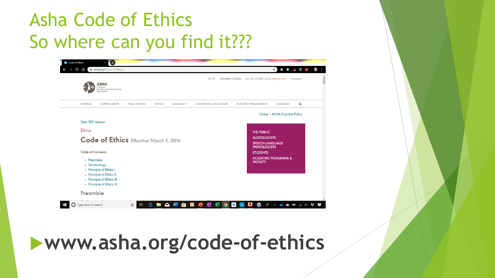## Asha Code of Ethics So where can you find it???

| C |                                                     |                     |                      | O<br>asha.org/Code-of-Ethics/<br>⇧                                                 |                             |                                        |                                                 |   |
|---|-----------------------------------------------------|---------------------|----------------------|------------------------------------------------------------------------------------|-----------------------------|----------------------------------------|-------------------------------------------------|---|
|   |                                                     |                     |                      |                                                                                    |                             |                                        | $\circ$ $\circ$<br>☆)<br>$\sim$<br>$\mathbf{J}$ | Ο |
|   | ASHA                                                |                     |                      | <b>MEMBER CENTER</b><br>MY ACCOUNT JALSTON@UMC.EDU<br><b>SHOP</b><br><b>LOGOUT</b> |                             |                                        |                                                 |   |
|   | American<br>Speech-Language-Hearing<br>Association  |                     |                      |                                                                                    |                             |                                        |                                                 |   |
|   | <b>CAREERS</b><br><b>CERTIFICATION</b>              | <b>PUBLICATIONS</b> | <b>EVENTS</b>        | <b>ADVOCACY</b>                                                                    | <b>CONTINUING EDUCATION</b> | PRACTICE MANAGEMENT                    | Q<br><b>RESEARCH</b>                            |   |
|   |                                                     |                     |                      |                                                                                    |                             |                                        |                                                 |   |
|   |                                                     |                     |                      |                                                                                    |                             |                                        | Home / ASHA Practice Policy                     |   |
|   | <b>View PDF Version</b>                             |                     |                      |                                                                                    |                             |                                        |                                                 |   |
|   | <b>Ethics</b>                                       |                     |                      |                                                                                    |                             | THE PUBLIC                             |                                                 |   |
|   | Code of Ethics Effective March 1, 2016              |                     |                      |                                                                                    |                             | <b>AUDIOLOGISTS</b>                    |                                                 |   |
|   |                                                     |                     |                      |                                                                                    |                             | SPEECH-LANGUAGE<br><b>PATHOLOGISTS</b> |                                                 |   |
|   | <b>Table of Contents</b>                            |                     |                      |                                                                                    |                             | <b>STUDENTS</b>                        |                                                 |   |
|   | • Preamble                                          |                     |                      |                                                                                    |                             | <b>FACULTY</b>                         | <b>ACADEMIC PROGRAMS &amp;</b>                  |   |
|   | • Terminology                                       |                     |                      |                                                                                    |                             |                                        |                                                 |   |
|   | • Principle of Ethics I<br>• Principle of Ethics II |                     |                      |                                                                                    |                             |                                        |                                                 |   |
|   | • Principle of Ethics III                           |                     |                      |                                                                                    |                             |                                        |                                                 |   |
|   | • Principle of Ethics IV                            |                     |                      |                                                                                    |                             |                                        |                                                 |   |
|   | Preamble                                            |                     |                      |                                                                                    |                             |                                        |                                                 |   |
|   | Type here to search                                 | <b>目</b><br>Q       | e<br><b>Contract</b> | $\mathbf{r}$<br>$\bullet$ W                                                        | $\mathbf{P}$<br>N           | $\mathbf{C}$<br>$R^8$<br>is:<br>Ø      |                                                 |   |

## **www.asha.org/code-of-ethics**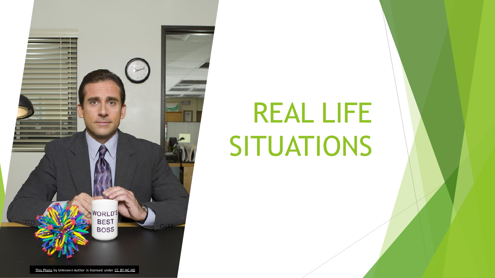

# REAL LIFE SITUATIONS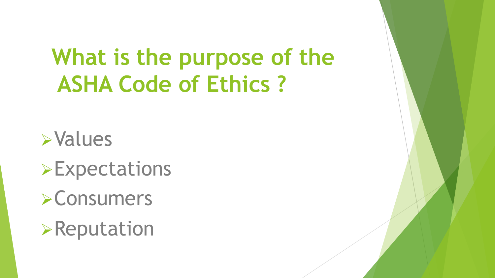## **What is the purpose of the ASHA Code of Ethics ?**

➢Values

➢Expectations

➢Consumers

➢Reputation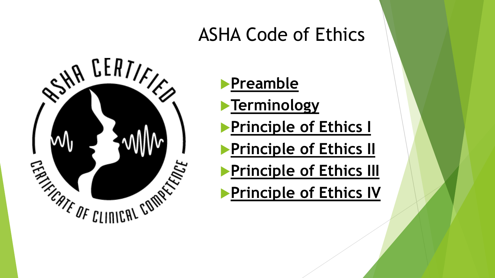### ASHA Code of Ethics



**[Preamble](https://www.asha.org/Code-of-Ethics/) [Terminology](https://www.asha.org/Code-of-Ethics/) [Principle of Ethics I](https://www.asha.org/Code-of-Ethics/) [Principle of Ethics II](https://www.asha.org/Code-of-Ethics/)** 

**[Principle of Ethics III](https://www.asha.org/Code-of-Ethics/)** 

**[Principle of Ethics IV](https://www.asha.org/Code-of-Ethics/)**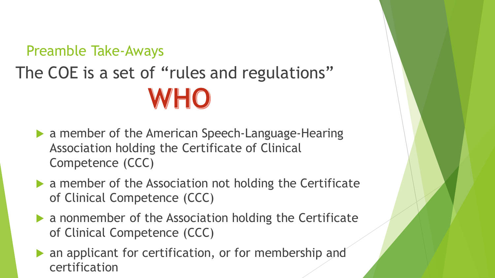## Preamble Take-Aways The COE is a set of "rules and regulations" WHO

- a member of the American Speech-Language-Hearing Association holding the Certificate of Clinical Competence (CCC)
- a member of the Association not holding the Certificate of Clinical Competence (CCC)
- a nonmember of the Association holding the Certificate of Clinical Competence (CCC)
- an applicant for certification, or for membership and certification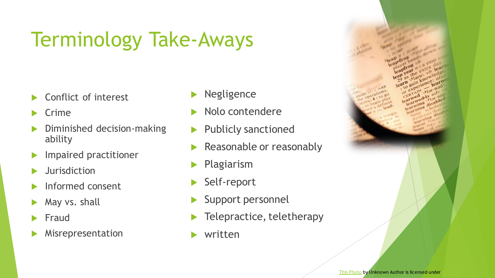## Terminology Take-Aways

- Conflict of interest
- Crime
- Diminished decision-making ability
- Impaired practitioner
- Jurisdiction
- Informed consent
- May vs. shall
- Fraud
- Misrepresentation
- Negligence
- Nolo contendere
- Publicly sanctioned
- Reasonable or reasonably
- Plagiarism
- Self-report
- Support personnel
- Telepractice, teletherapy
- written

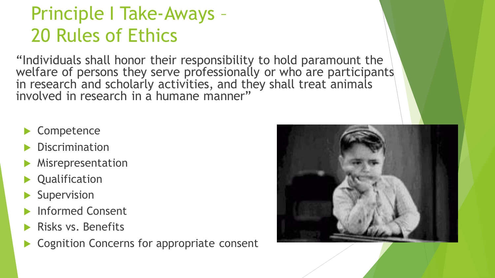## Principle I Take-Aways – 20 Rules of Ethics

"Individuals shall honor their responsibility to hold paramount the welfare of persons they serve professionally or who are participants in research and scholarly activities, and they shall treat animals involved in research in a humane manner"

- Competence
- **Discrimination**
- Misrepresentation
- Qualification
- Supervision
- Informed Consent
- Risks vs. Benefits
- Cognition Concerns for appropriate consent

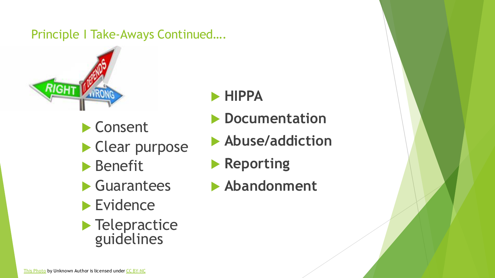#### Principle I Take-Aways Continued….



▶ Consent Clear purpose **Benefit**  Guarantees **Evidence Telepractice** guidelines

#### **HIPPA**

- **Documentation**
- **Abuse/addiction**
- **Reporting**
- **Abandonment**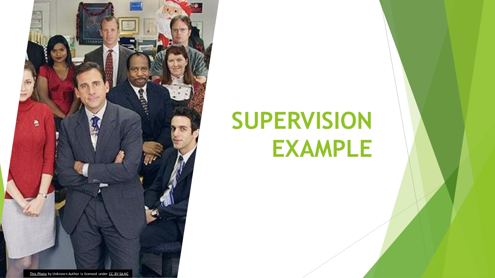

## **SUPERVISION EXAMPLE**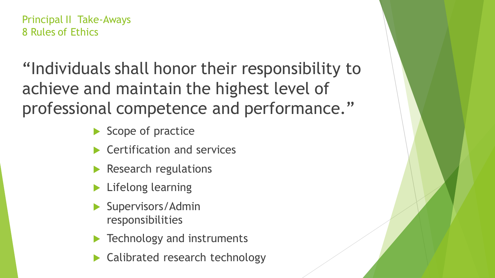Principal II Take-Aways 8 Rules of Ethics

"Individuals shall honor their responsibility to achieve and maintain the highest level of professional competence and performance."

- Scope of practice
- Certification and services
- Research regulations
- Lifelong learning
- Supervisors/Admin responsibilities
- Technology and instruments
- Calibrated research technology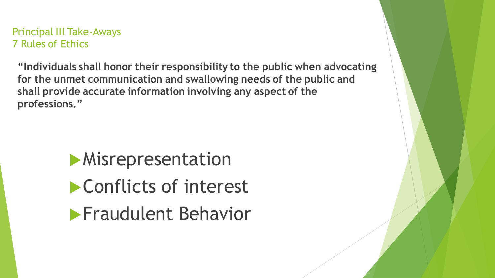Principal III Take-Aways 7 Rules of Ethics

**"Individuals shall honor their responsibility to the public when advocating for the unmet communication and swallowing needs of the public and shall provide accurate information involving any aspect of the professions."**

> **Misrepresentation** Conflicts of interest **Fraudulent Behavior**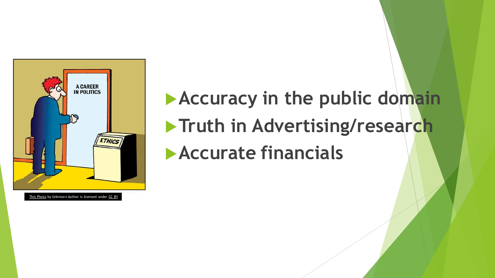

## WARKER<br>WANDELIES **Accuracy in the public domain Truth in Advertising/research Accurate financials**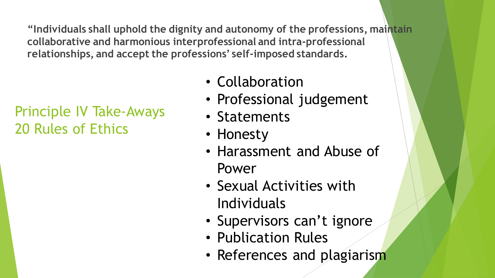**"Individuals shall uphold the dignity and autonomy of the professions, maintain collaborative and harmonious interprofessional and intra-professional relationships, and accept the professions' self-imposed standards.**

#### Principle IV Take-Aways 20 Rules of Ethics

- Collaboration
- Professional judgement
- Statements
- Honesty
- Harassment and Abuse of Power
- Sexual Activities with Individuals
- Supervisors can't ignore
- Publication Rules
- References and plagiarism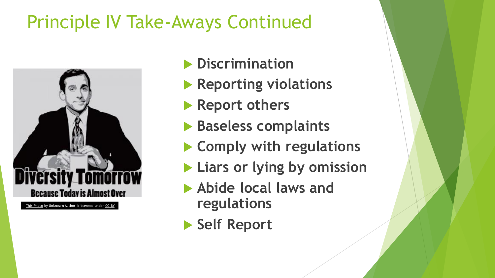## Principle IV Take-Aways Continued



- **Discrimination**
- **Reporting violations**
- **Report others**
- **Baseless complaints**
- **Comply with regulations**
- **Liars or lying by omission**
- **Abide local laws and regulations**
- **Self Report**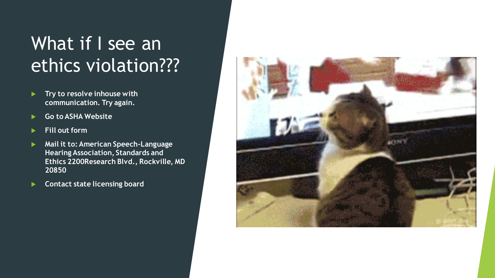## What if I see an ethics violation???

- **Try to resolve inhouse with communication. Try again.**
- **Go to ASHA Website**
- **Fill out form**
- **Mail it to: American Speech-Language Hearing Association, Standards and Ethics 2200Research Blvd., Rockville, MD 20850**
- **Contact state licensing board**

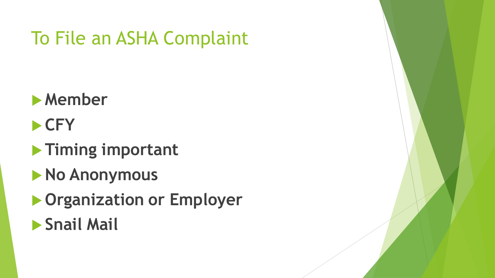## To File an ASHA Complaint

- **Member**
- **CFY**
- **Timing important**
- **No Anonymous**
- **Organization or Employer**
- **Snail Mail**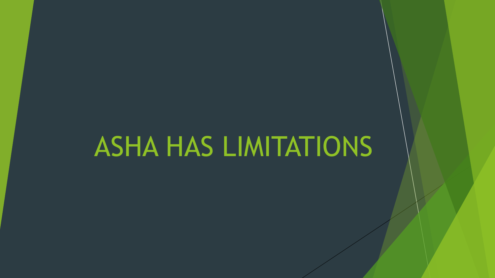## ASHA HAS LIMITATIONS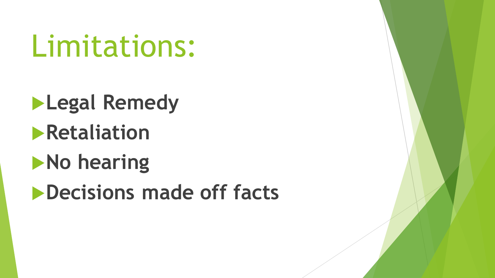Limitations:

**Legal Remedy Retaliation** 

**No hearing** 

**Decisions made off facts**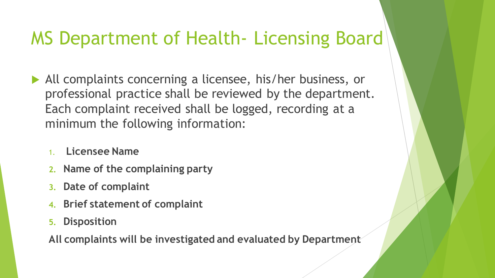### MS Department of Health- Licensing Board

- All complaints concerning a licensee, his/her business, or professional practice shall be reviewed by the department. Each complaint received shall be logged, recording at a minimum the following information:
	- 1. **Licensee Name**
	- **2. Name of the complaining party**
	- **3. Date of complaint**
	- **4. Brief statement of complaint**
	- **5. Disposition**

**All complaints will be investigated and evaluated by Department**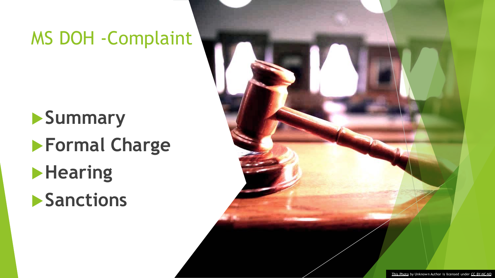### MS DOH -Complaint

## **Summary Formal Charge Hearing**

**Sanctions** 

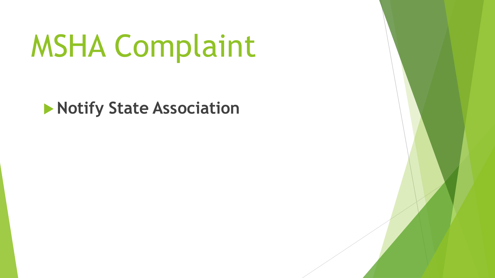# MSHA Complaint

**Notify State Association**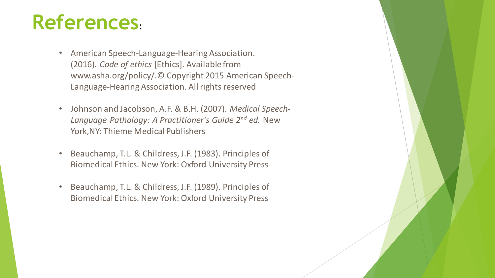## **References**:

- American Speech-Language-Hearing Association. (2016). *Code of ethics* [Ethics]. Available from www.asha.org/policy/.© Copyright 2015 American Speech-Language-Hearing Association. All rights reserved
- Johnson and Jacobson, A.F. & B.H. (2007). *Medical Speech-Language Pathology: A Practitioner's Guide 2nd ed.* New York,NY: Thieme Medical Publishers
- Beauchamp, T.L. & Childress, J.F. (1983). Principles of Biomedical Ethics. New York: Oxford University Press
- Beauchamp, T.L. & Childress, J.F. (1989). Principles of Biomedical Ethics. New York: Oxford University Press